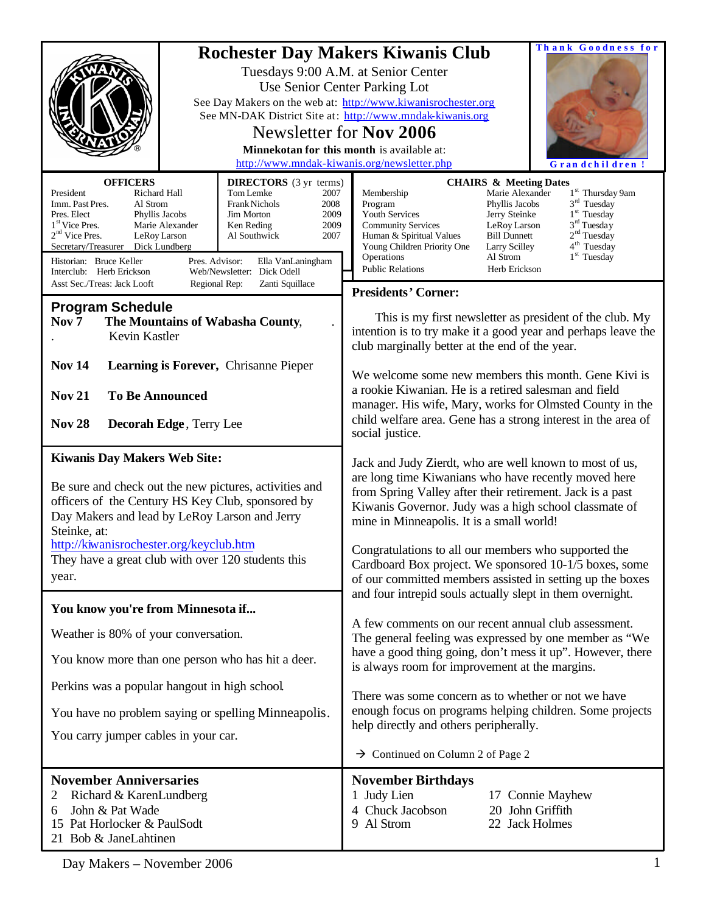|                                                                                                                                                                                                                                                                                                                                                                                                                                                                                                                                 | Thank Goodness for<br><b>Rochester Day Makers Kiwanis Club</b><br>Tuesdays 9:00 A.M. at Senior Center<br>Use Senior Center Parking Lot<br>See Day Makers on the web at: http://www.kiwanisrochester.org<br>See MN-DAK District Site at: http://www.mndak-kiwanis.org<br>Newsletter for Nov 2006<br>Minnekotan for this month is available at:<br>http://www.mndak-kiwanis.org/newsletter.php<br>Grandchildren!                                                                                                               |  |  |
|---------------------------------------------------------------------------------------------------------------------------------------------------------------------------------------------------------------------------------------------------------------------------------------------------------------------------------------------------------------------------------------------------------------------------------------------------------------------------------------------------------------------------------|------------------------------------------------------------------------------------------------------------------------------------------------------------------------------------------------------------------------------------------------------------------------------------------------------------------------------------------------------------------------------------------------------------------------------------------------------------------------------------------------------------------------------|--|--|
| <b>OFFICERS</b><br><b>DIRECTORS</b> (3 yr terms)<br>President<br>Tom Lemke<br>Richard Hall<br>2007<br>Imm. Past Pres.<br>Al Strom<br><b>Frank Nichols</b><br>2008<br>2009<br>Pres. Elect<br>Phyllis Jacobs<br>Jim Morton<br>1 <sup>st</sup> Vice Pres.<br>Marie Alexander<br>2009<br>Ken Reding<br>$2nd$ Vice Pres.<br>Al Southwick<br>2007<br>LeRoy Larson<br>Secretary/Treasurer<br>Dick Lundberg<br>Historian: Bruce Keller<br>Pres. Advisor:<br>Ella VanLaningham<br>Interclub: Herb Erickson<br>Web/Newsletter: Dick Odell | <b>CHAIRS &amp; Meeting Dates</b><br>Marie Alexander<br>1 <sup>st</sup> Thursday 9am<br>Membership<br>$3rd$ Tuesday<br>Program<br>Phyllis Jacobs<br>1 <sup>st</sup> Tuesday<br>Youth Services<br>Jerry Steinke<br>$3rd$ Tuesday<br><b>Community Services</b><br>LeRoy Larson<br>2 <sup>nd</sup> Tuesday<br><b>Bill Dunnett</b><br>Human & Spiritual Values<br>4 <sup>th</sup> Tuesday<br>Young Children Priority One<br>Larry Scilley<br>$1st$ Tuesday<br>Operations<br>Al Strom<br><b>Public Relations</b><br>Herb Erickson |  |  |
| Asst Sec./Treas: Jack Looft<br>Regional Rep:<br>Zanti Squillace                                                                                                                                                                                                                                                                                                                                                                                                                                                                 | <b>Presidents' Corner:</b>                                                                                                                                                                                                                                                                                                                                                                                                                                                                                                   |  |  |
| <b>Program Schedule</b><br>The Mountains of Wabasha County,<br>Nov 7<br>Kevin Kastler                                                                                                                                                                                                                                                                                                                                                                                                                                           | This is my first newsletter as president of the club. My<br>intention is to try make it a good year and perhaps leave the<br>club marginally better at the end of the year.                                                                                                                                                                                                                                                                                                                                                  |  |  |
| <b>Nov 14</b><br>Learning is Forever, Chrisanne Pieper                                                                                                                                                                                                                                                                                                                                                                                                                                                                          | We welcome some new members this month. Gene Kivi is                                                                                                                                                                                                                                                                                                                                                                                                                                                                         |  |  |
| a rookie Kiwanian. He is a retired salesman and field<br><b>Nov 21</b><br><b>To Be Announced</b><br>manager. His wife, Mary, works for Olmsted County in the<br>child welfare area. Gene has a strong interest in the area of<br><b>Nov 28</b><br>Decorah Edge, Terry Lee<br>social justice.                                                                                                                                                                                                                                    |                                                                                                                                                                                                                                                                                                                                                                                                                                                                                                                              |  |  |
| <b>Kiwanis Day Makers Web Site:</b><br>Be sure and check out the new pictures, activities and<br>officers of the Century HS Key Club, sponsored by<br>Day Makers and lead by LeRoy Larson and Jerry<br>Steinke, at:                                                                                                                                                                                                                                                                                                             | Jack and Judy Zierdt, who are well known to most of us,<br>are long time Kiwanians who have recently moved here<br>from Spring Valley after their retirement. Jack is a past<br>Kiwanis Governor. Judy was a high school classmate of<br>mine in Minneapolis. It is a small world!                                                                                                                                                                                                                                           |  |  |
| http://kiwanisrochester.org/keyclub.htm<br>They have a great club with over 120 students this<br>year.                                                                                                                                                                                                                                                                                                                                                                                                                          | Congratulations to all our members who supported the<br>Cardboard Box project. We sponsored 10-1/5 boxes, some<br>of our committed members assisted in setting up the boxes<br>and four intrepid souls actually slept in them overnight.                                                                                                                                                                                                                                                                                     |  |  |
| You know you're from Minnesota if                                                                                                                                                                                                                                                                                                                                                                                                                                                                                               |                                                                                                                                                                                                                                                                                                                                                                                                                                                                                                                              |  |  |
| Weather is 80% of your conversation.                                                                                                                                                                                                                                                                                                                                                                                                                                                                                            | A few comments on our recent annual club assessment.<br>The general feeling was expressed by one member as "We<br>have a good thing going, don't mess it up". However, there<br>is always room for improvement at the margins.                                                                                                                                                                                                                                                                                               |  |  |
| You know more than one person who has hit a deer.                                                                                                                                                                                                                                                                                                                                                                                                                                                                               |                                                                                                                                                                                                                                                                                                                                                                                                                                                                                                                              |  |  |
| Perkins was a popular hangout in high school.                                                                                                                                                                                                                                                                                                                                                                                                                                                                                   | There was some concern as to whether or not we have                                                                                                                                                                                                                                                                                                                                                                                                                                                                          |  |  |
| You have no problem saying or spelling Minneapolis.<br>You carry jumper cables in your car.                                                                                                                                                                                                                                                                                                                                                                                                                                     | enough focus on programs helping children. Some projects<br>help directly and others peripherally.                                                                                                                                                                                                                                                                                                                                                                                                                           |  |  |
|                                                                                                                                                                                                                                                                                                                                                                                                                                                                                                                                 | $\rightarrow$ Continued on Column 2 of Page 2                                                                                                                                                                                                                                                                                                                                                                                                                                                                                |  |  |
| <b>November Anniversaries</b><br>Richard & KarenLundberg<br>2<br>John & Pat Wade<br>6<br>15 Pat Horlocker & PaulSodt<br>21 Bob & JaneLahtinen                                                                                                                                                                                                                                                                                                                                                                                   | <b>November Birthdays</b><br>1 Judy Lien<br>17 Connie Mayhew<br>4 Chuck Jacobson<br>20 John Griffith<br>9 Al Strom<br>22 Jack Holmes                                                                                                                                                                                                                                                                                                                                                                                         |  |  |

Day Makers – November 2006 1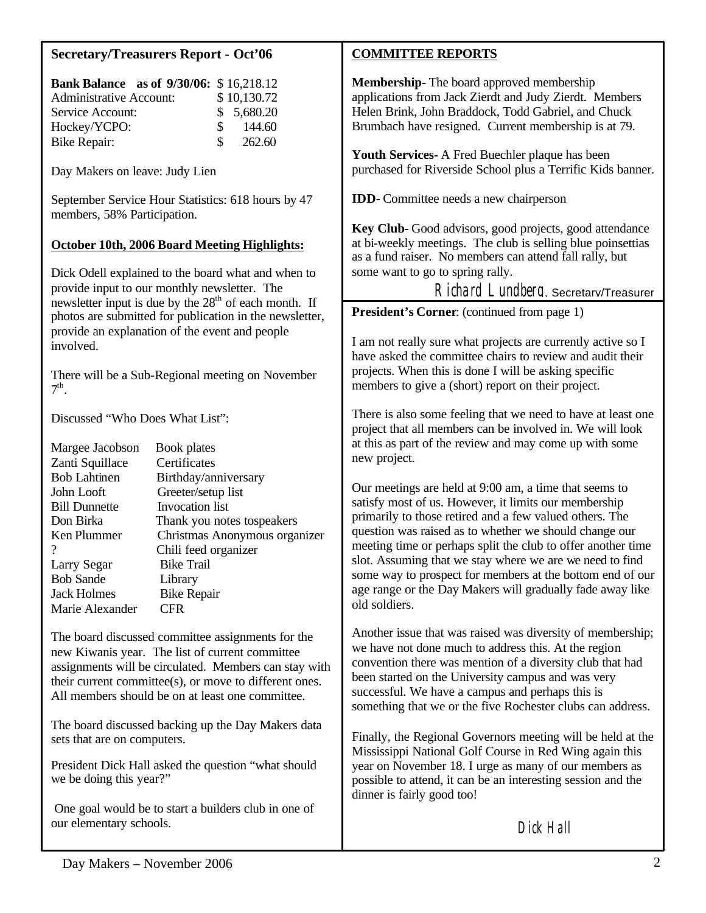## **Secretary/Treasurers Report - Oct'06**

| <b>Bank Balance</b> as of 9/30/06: \$16,218.12 |               |             |
|------------------------------------------------|---------------|-------------|
| <b>Administrative Account:</b>                 |               | \$10,130.72 |
| Service Account:                               |               | \$5,680.20  |
| Hockey/YCPO:                                   | $\mathcal{S}$ | 144.60      |
| <b>Bike Repair:</b>                            | $\mathcal{S}$ | 262.60      |

Day Makers on leave: Judy Lien

September Service Hour Statistics: 618 hours by 47 members, 58% Participation.

## **October 10th, 2006 Board Meeting Highlights:**

Dick Odell explained to the board what and when to provide input to our monthly newsletter. The newsletter input is due by the  $28<sup>th</sup>$  of each month. If photos are submitted for publication in the newsletter, provide an explanation of the event and people involved.

There will be a Sub-Regional meeting on November  $7^{\text{th}}$ .

Discussed "Who Does What List":

| Margee Jacobson      | <b>Book</b> plates            |
|----------------------|-------------------------------|
| Zanti Squillace      | Certificates                  |
| <b>Bob Lahtinen</b>  | Birthday/anniversary          |
| John Looft           | Greeter/setup list            |
| <b>Bill Dunnette</b> | Invocation list               |
| Don Birka            | Thank you notes tospeakers    |
| Ken Plummer          | Christmas Anonymous organizer |
| ?                    | Chili feed organizer          |
| Larry Segar          | <b>Bike Trail</b>             |
| <b>Bob Sande</b>     | Library                       |
| <b>Jack Holmes</b>   | <b>Bike Repair</b>            |
| Marie Alexander      | FR                            |

The board discussed committee assignments for the new Kiwanis year. The list of current committee assignments will be circulated. Members can stay with their current committee(s), or move to different ones. All members should be on at least one committee.

The board discussed backing up the Day Makers data sets that are on computers.

President Dick Hall asked the question "what should we be doing this year?"

One goal would be to start a builders club in one of our elementary schools.

## **COMMITTEE REPORTS**

**Membership-** The board approved membership applications from Jack Zierdt and Judy Zierdt. Members Helen Brink, John Braddock, Todd Gabriel, and Chuck Brumbach have resigned. Current membership is at 79.

**Youth Services-** A Fred Buechler plaque has been purchased for Riverside School plus a Terrific Kids banner.

**IDD-** Committee needs a new chairperson

**Key Club-** Good advisors, good projects, good attendance at bi-weekly meetings. The club is selling blue poinsettias as a fund raiser. No members can attend fall rally, but some want to go to spring rally.

Richard Lundberg, Secretary/Treasurer

**President's Corner**: (continued from page 1)

I am not really sure what projects are currently active so I have asked the committee chairs to review and audit their projects. When this is done I will be asking specific members to give a (short) report on their project.

There is also some feeling that we need to have at least one project that all members can be involved in. We will look at this as part of the review and may come up with some new project.

Our meetings are held at 9:00 am, a time that seems to satisfy most of us. However, it limits our membership primarily to those retired and a few valued others. The question was raised as to whether we should change our meeting time or perhaps split the club to offer another time slot. Assuming that we stay where we are we need to find some way to prospect for members at the bottom end of our age range or the Day Makers will gradually fade away like old soldiers.

Another issue that was raised was diversity of membership; we have not done much to address this. At the region convention there was mention of a diversity club that had been started on the University campus and was very successful. We have a campus and perhaps this is something that we or the five Rochester clubs can address.

Finally, the Regional Governors meeting will be held at the Mississippi National Golf Course in Red Wing again this year on November 18. I urge as many of our members as possible to attend, it can be an interesting session and the dinner is fairly good too!

 $\overline{a}$ 

Dick Hall

j